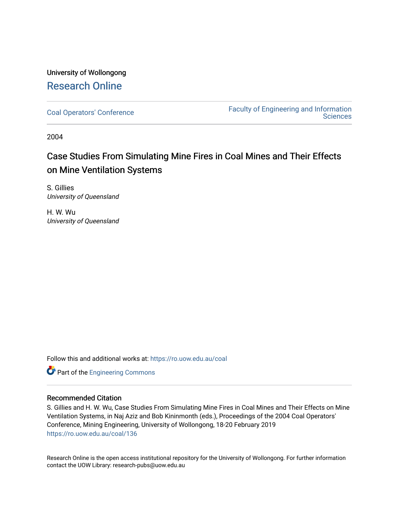# University of Wollongong [Research Online](https://ro.uow.edu.au/)

[Coal Operators' Conference](https://ro.uow.edu.au/coal) [Faculty of Engineering and Information](https://ro.uow.edu.au/eis)  **Sciences** 

2004

# Case Studies From Simulating Mine Fires in Coal Mines and Their Effects on Mine Ventilation Systems

S. Gillies University of Queensland

H. W. Wu University of Queensland

Follow this and additional works at: [https://ro.uow.edu.au/coal](https://ro.uow.edu.au/coal?utm_source=ro.uow.edu.au%2Fcoal%2F136&utm_medium=PDF&utm_campaign=PDFCoverPages) 

Part of the [Engineering Commons](http://network.bepress.com/hgg/discipline/217?utm_source=ro.uow.edu.au%2Fcoal%2F136&utm_medium=PDF&utm_campaign=PDFCoverPages)

# Recommended Citation

S. Gillies and H. W. Wu, Case Studies From Simulating Mine Fires in Coal Mines and Their Effects on Mine Ventilation Systems, in Naj Aziz and Bob Kininmonth (eds.), Proceedings of the 2004 Coal Operators' Conference, Mining Engineering, University of Wollongong, 18-20 February 2019 [https://ro.uow.edu.au/coal/136](https://ro.uow.edu.au/coal/136?utm_source=ro.uow.edu.au%2Fcoal%2F136&utm_medium=PDF&utm_campaign=PDFCoverPages) 

Research Online is the open access institutional repository for the University of Wollongong. For further information contact the UOW Library: research-pubs@uow.edu.au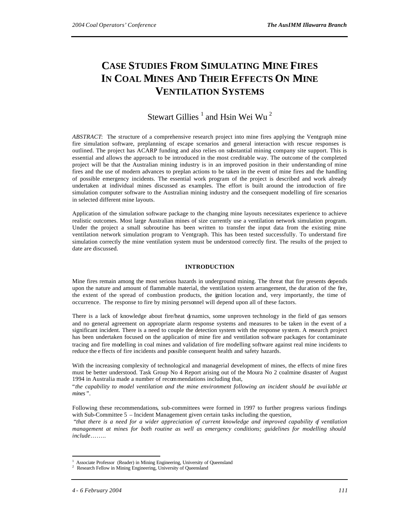# **CASE STUDIES FROM SIMULATING MINE FIRES IN COAL MINES AND THEIR EFFECTS ON MINE VENTILATION SYSTEMS**

# Stewart Gillies  $^1$  and Hsin Wei Wu<sup>2</sup>

*ABSTRACT*: The structure of a comprehensive research project into mine fires applying the Ventgraph mine fire simulation software, preplanning of escape scenarios and general interaction with rescue responses is outlined. The project has ACARP funding and also relies on substantial mining company site support. This is essential and allows the approach to be introduced in the most creditable way. The outcome of the completed project will be that the Australian mining industry is in an improved position in their understanding of mine fires and the use of modern advances to preplan actions to be taken in the event of mine fires and the handling of possible emergency incidents. The essential work program of the project is described and work already undertaken at individual mines discussed as examples. The effort is built around the introduction of fire simulation computer software to the Australian mining industry and the consequent modelling of fire scenarios in selected different mine layouts.

Application of the simulation software package to the changing mine layouts necessitates experience to achieve realistic outcomes. Most large Australian mines of size currently use a ventilation network simulation program. Under the project a small subroutine has been written to transfer the input data from the existing mine ventilation network simulation program to Ventgraph. This has been tested successfully. To understand fire simulation correctly the mine ventilation system must be understood correctly first. The results of the project to date are discussed.

# **INTRODUCTION**

Mine fires remain among the most serious hazards in underground mining. The threat that fire presents depends upon the nature and amount of flammable material, the ventilation system arrangement, the dur ation of the fire, the extent of the spread of combustion products, the gnition location and, very importantly, the time of occurrence. The response to fire by mining personnel will depend upon all of these factors.

There is a lack of knowledge about fire/heat dynamics, some unproven technology in the field of gas sensors and no general agreement on appropriate alarm response systems and measures to be taken in the event of a significant incident. There is a need to couple the detection system with the response system. A research project has been undertaken focused on the application of mine fire and ventilation software packages for contaminate tracing and fire modelling in coal mines and validation of fire modelling software against real mine incidents to reduce the e ffects of fire incidents and possible consequent health and safety hazards.

With the increasing complexity of technological and managerial development of mines, the effects of mine fires must be better understood. Task Group No 4 Report arising out of the Moura No 2 coalmine disaster of August 1994 in Australia made a number of recommendations including that,

"*the capability to model ventilation and the mine environment following an incident should be available at mines* ".

Following these recommendations, sub-committees were formed in 1997 to further progress various findings with Sub-Committee 5 – Incident Management given certain tasks including the question,

 "*that there is a need for a wider appreciation of current knowledge and improved capability of ventilation management at mines for both routine as well as emergency conditions; guidelines for modelling should include*……..

 $\overline{a}$ 

<sup>&</sup>lt;sup>1</sup> Associate Professor (Reader) in Mining Engineering, University of Queensland

<sup>2</sup> Research Fellow in Mining Engineering, University of Queensland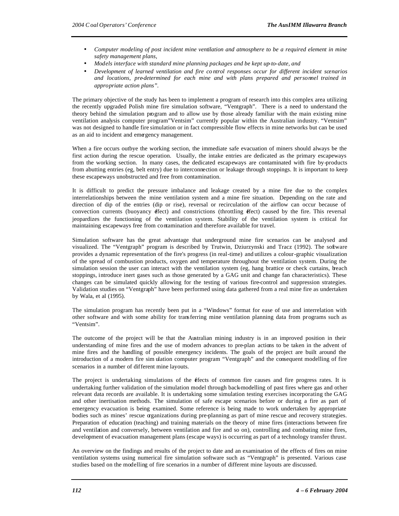- *Computer modeling of post incident mine ventilation and atmosphere to be a required element in mine safety management plans,*
- *Models interface with standard mine planning packages and be kept up-to-date, and*
- *Development of learned ventilation and fire co ntrol responses occur for different incident scenarios and locations, pre-determined for each mine and with plans prepared and personnel trained in appropriate action plans".*

The primary objective of the study has been to implement a program of research into this complex area utilizing the recently upgraded Polish mine fire simulation software, "Ventgraph". There is a need to understand the theory behind the simulation program and to allow use by those already familiar with the main existing mine ventilation analysis computer program"Ventsim" currently popular within the Australian industry. "Ventsim" was not designed to handle fire simulation or in fact compressible flow effects in mine networks but can be used as an aid to incident and emergency management.

When a fire occurs outbye the working section, the immediate safe evacuation of miners should always be the first action during the rescue operation. Usually, the intake entries are dedicated as the primary escapeways from the working section. In many cases, the dedicated escapeways are contaminated with fire by-products from abutting entries (eg, belt entry) due to interconnection or leakage through stoppings. It is important to keep these escapeways unobstructed and free from contamination.

It is difficult to predict the pressure imbalance and leakage created by a mine fire due to the complex interrelationships between the mine ventilation system and a mine fire situation. Depending on the rate and direction of dip of the entries (dip or rise), reversal or recirculation of the airflow can occur because of convection currents (buoyancy effect) and constrictions (throttling effect) caused by the fire. This reversal jeopardizes the functioning of the ventilation system. Stability of the ventilation system is critical for maintaining escapeways free from contamination and therefore available for travel.

Simulation software has the great advantage that underground mine fire scenarios can be analysed and visualized. The "Ventgraph" program is described by Trutwin, Dziurzynski and Tracz (1992). The software provides a dynamic representation of the fire's progress (in real-time) and utilizes a colour-graphic visualization of the spread of combustion products, oxygen and temperature throughout the ventilation system. During the simulation session the user can interact with the ventilation system (eg, hang brattice or check curtains, breach stoppings, introduce inert gases such as those generated by a GAG unit and change fan characteristics). These changes can be simulated quickly allowing for the testing of various fire-control and suppression strategies. Validation studies on "Ventgraph" have been performed using data gathered from a real mine fire as undertaken by Wala, et al (1995).

The simulation program has recently been put in a "Windows" format for ease of use and interrelation with other software and with some ability for transferring mine ventilation planning data from programs such as "Ventsim".

The outcome of the project will be that the Australian mining industry is in an improved position in their understanding of mine fires and the use of modern advances to pre-plan actions to be taken in the advent of mine fires and the handling of possible emergency incidents. The goals of the project are built around the introduction of a modern fire sim ulation computer program "Ventgraph" and the consequent modelling of fire scenarios in a number of different mine layouts.

The project is undertaking simulations of the effects of common fire causes and fire progress rates. It is undertaking further validation of the simulation model through back-modelling of past fires where gas and other relevant data records are available. It is undertaking some simulation testing exercises incorporating the GAG and other inertisation methods. The simulation of safe escape scenarios before or during a fire as part of emergency evacuation is being examined. Some reference is being made to work undertaken by appropriate bodies such as mines' rescue organizations during pre-planning as part of mine rescue and recovery strategies. Preparation of education (teaching) and training materials on the theory of mine fires (interactions between fire and ventilation and conversely, between ventilation and fire and so on), controlling and combating mine fires, development of evacuation management plans (escape ways) is occurring as part of a technology transfer thrust.

An overview on the findings and results of the project to date and an examination of the effects of fires on mine ventilation systems using numerical fire simulation software such as "Ventgraph" is presented. Various case studies based on the modelling of fire scenarios in a number of different mine layouts are discussed.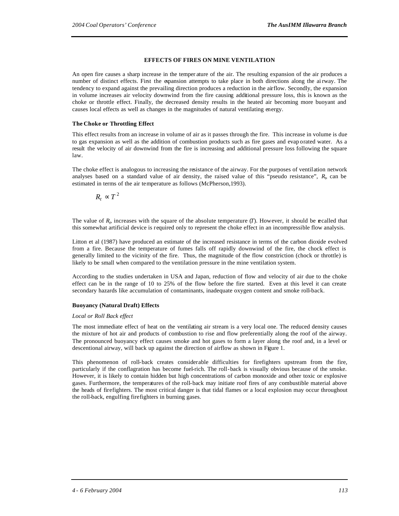# **EFFECTS OF FIRES ON MINE VENTILATION**

An open fire causes a sharp increase in the temper ature of the air. The resulting expansion of the air produces a number of distinct effects. First the expansion attempts to take place in both directions along the airway. The tendency to expand against the prevailing direction produces a reduction in the airflow. Secondly, the expansion in volume increases air velocity downwind from the fire causing additional pressure loss, this is known as the choke or throttle effect. Finally, the decreased density results in the heated air becoming more buoyant and causes local effects as well as changes in the magnitudes of natural ventilating energy.

# **The Choke or Throttling Effect**

This effect results from an increase in volume of air as it passes through the fire. This increase in volume is due to gas expansion as well as the addition of combustion products such as fire gases and evap orated water. As a result the velocity of air downwind from the fire is increasing and additional pressure loss following the square law.

The choke effect is analogous to increasing the resistance of the airway. For the purposes of ventilation network analyses based on a standard value of air density, the raised value of this "pseudo resistance",  $R<sub>b</sub>$  can be estimated in terms of the air temperature as follows (McPherson,1993).

$$
R_t \propto T^2
$$

The value of  $R<sub>p</sub>$  increases with the square of the absolute temperature  $(T)$ . However, it should be **recalled** that this somewhat artificial device is required only to represent the choke effect in an incompressible flow analysis.

Litton et al (1987) have produced an estimate of the increased resistance in terms of the carbon dioxide evolved from a fire. Because the temperature of fumes falls off rapidly downwind of the fire, the chock effect is generally limited to the vicinity of the fire. Thus, the magnitude of the flow constriction (chock or throttle) is likely to be small when compared to the ventilation pressure in the mine ventilation system.

According to the studies undertaken in USA and Japan, reduction of flow and velocity of air due to the choke effect can be in the range of 10 to 25% of the flow before the fire started. Even at this level it can create secondary hazards like accumulation of contaminants, inadequate oxygen content and smoke roll-back.

### **Buoyancy (Natural Draft) Effects**

### *Local or Roll Back effect*

The most immediate effect of heat on the ventilating air stream is a very local one. The reduced density causes the mixture of hot air and products of combustion to rise and flow preferentially along the roof of the airway. The pronounced buoyancy effect causes smoke and hot gases to form a layer along the roof and, in a level or descentional airway, will back up against the direction of airflow as shown in Figure 1.

This phenomenon of roll-back creates considerable difficulties for firefighters upstream from the fire, particularly if the conflagration has become fuel-rich. The roll-back is visually obvious because of the smoke. However, it is likely to contain hidden but high concentrations of carbon monoxide and other toxic or explosive gases. Furthermore, the temperatures of the roll-back may initiate roof fires of any combustible material above the heads of firefighters. The most critical danger is that tidal flames or a local explosion may occur throughout the roll-back, engulfing firefighters in burning gases.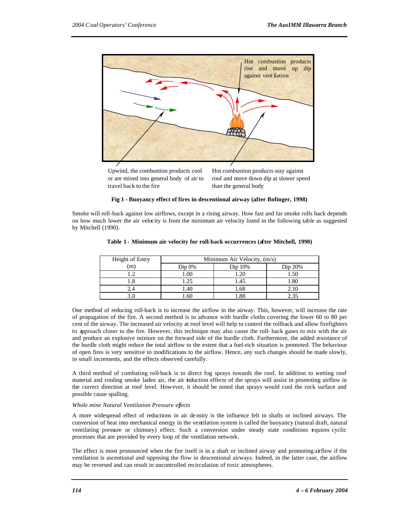

Upwind, the combustion products cool or are mixed into general body of air to travel back to the fire

Hot combustion products stay against roof and move down dip at slower speed than the general body



Smoke will roll-back against low airflows, except in a rising airway. How fast and far smoke rolls back depends on how much lower the air velocity is from the minimum air velocity listed in the following table as suggested by Mitchell (1990).

| Height of Entry | Minimum Air Velocity, (m/s) |         |           |  |
|-----------------|-----------------------------|---------|-----------|--|
| 'm`             | $Dip$ 0%                    | Dip 10% | $Dip$ 20% |  |
|                 | 0.00                        | 1.20    | .50       |  |
|                 | 1.25                        | 1.45    | .80       |  |
|                 | .40                         | 1.68    | 2.10      |  |
|                 | .6 <sup>c</sup>             | .88     | 125       |  |

#### **Table 1 - Minimum air velocity for roll-back occurrences (after Mitchell, 1990)**

One method of reducing roll-back is to increase the airflow in the airway. This, however, will increase the rate of propagation of the fire. A second method is to advance with hurdle cloths covering the lower 60 to 80 per cent of the airway. The increased air velocity at roof level will help to control the rollback and allow firefighters to approach closer to the fire. However, this technique may also cause the roll- back gases to mix with the air and produce an explosive mixture on the forward side of the hurdle cloth. Furthermore, the added resistance of the hurdle cloth might reduce the total airflow to the extent that a fuel-rich situation is promoted. The behaviour of open fires is very sensitive to modifications to the airflow. Hence, any such changes should be made slowly, in small increments, and the effects observed carefully.

A third method of combating roll-back is to direct fog sprays towards the roof. In addition to wetting roof material and cooling smoke laden air, the air induction effects of the sprays will assist in promoting airflow in the correct direction at roof level. However, it should be noted that sprays would cool the rock surface and possible cause spalling.

### *Whole mine Natural Ventilation Pressure effects*

A more widespread effect of reductions in air de nsity is the influence felt in shafts or inclined airways. The conversion of heat into mechanical energy in the ventilation system is called the buoyancy (natural draft, natural ventilating pressure or chimney) effect. Such a conversion under steady state conditions requires cyclic processes that are provided by every loop of the ventilation network.

The effect is most pronounced when the fire itself is in a shaft or inclined airway and promoting airflow if the ventilation is ascentional and opposing the flow in descentional airways. Indeed, in the latter case, the airflow may be reversed and can result in uncontrolled recirculation of toxic atmospheres.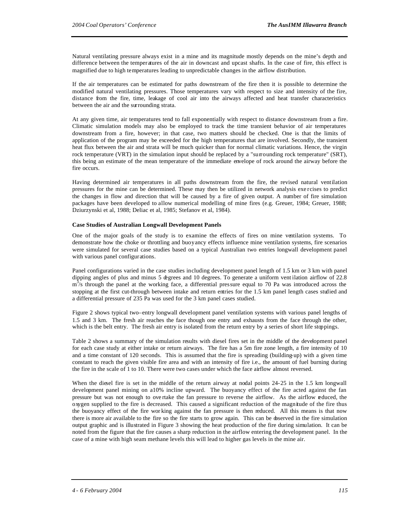Natural ventilating pressure always exist in a mine and its magnitude mostly depends on the mine's depth and difference between the temperatures of the air in downcast and upcast shafts. In the case of fire, this effect is magnified due to high temperatures leading to unpredictable changes in the airflow distribution.

If the air temperatures can be estimated for paths downstream of the fire then it is possible to determine the modified natural ventilating pressures. Those temperatures vary with respect to size and intensity of the fire, distance from the fire, time, leakage of cool air into the airways affected and heat transfer characteristics between the air and the surrounding strata.

At any given time, air temperatures tend to fall exponentially with respect to distance downstream from a fire. Climatic simulation models may also be employed to track the time transient behavior of air temperatures downstream from a fire, however; in that case, two matters should be checked. One is that the limits of application of the program may be exceeded for the high temperatures that are involved. Secondly, the transient heat flux between the air and strata will be much quicker than for normal climatic variations. Hence, the virgin rock temperature (VRT) in the simulation input should be replaced by a "surrounding rock temperature" (SRT), this being an estimate of the mean temperature of the immediate envelope of rock around the airway before the fire occurs.

Having determined air temperatures in all paths downstream from the fire, the revised natural ventilation pressures for the mine can be determined. These may then be utilized in network analysis exe rcises to predict the changes in flow and direction that will be caused by a fire of given output. A number of fire simulation packages have been developed to allow numerical modelling of mine fires (e.g. Greuer, 1984; Greuer, 1988; Dziurzynski et al, 1988; Deliac et al, 1985; Stefanov et al, 1984).

# **Case Studies of Australian Longwall Development Panels**

One of the major goals of the study is to examine the effects of fires on mine ventilation systems. To demonstrate how the choke or throttling and buoyancy effects influence mine ventilation systems, fire scenarios were simulated for several case studies based on a typical Australian two entries longwall development panel with various panel configurations.

Panel configurations varied in the case studies including development panel length of 1.5 km or 3 km with panel dipping angles of plus and minus 5 degrees and 10 degrees. To generate a uniform ventilation airflow of 22.8  $m<sup>3</sup>/s$  through the panel at the working face, a differential pressure equal to 70 Pa was introduced across the stopping at the first cut-through between intake and return entries for the 1.5 km panel length cases studied and a differential pressure of 235 Pa was used for the 3 km panel cases studied.

Figure 2 shows typical two–entry longwall development panel ventilation systems with various panel lengths of 1.5 and 3 km. The fresh air reaches the face though one entry and exhausts from the face through the other, which is the belt entry. The fresh air entry is isolated from the return entry by a series of short life stoppings.

Table 2 shows a summary of the simulation results with diesel fires set in the middle of the development panel for each case study at either intake or return airways. The fire has a 5m fire zone length, a fire intensity of 10 and a time constant of 120 seconds. This is assumed that the fire is spreading (building-up) with a given time constant to reach the given visible fire area and with an intensity of fire i.e., the amount of fuel burning during the fire in the scale of 1 to 10. There were two cases under which the face airflow almost reversed.

When the diesel fire is set in the middle of the return airway at nodal points 24-25 in the 1.5 km longwall development panel mining on a10% incline upward. The buoyancy effect of the fire acted against the fan pressure but was not enough to ove rtake the fan pressure to reverse the airflow. As the airflow reduced, the oxygen supplied to the fire is decreased. This caused a significant reduction of the magnitude of the fire thus the buoyancy effect of the fire wor king against the fan pressure is then reduced. All this means is that now there is more air available to the fire so the fire starts to grow again. This can be observed in the fire simulation output graphic and is illustrated in Figure 3 showing the heat production of the fire during simulation. It can be noted from the figure that the fire causes a sharp reduction in the airflow entering the development panel. In the case of a mine with high seam methane levels this will lead to higher gas levels in the mine air.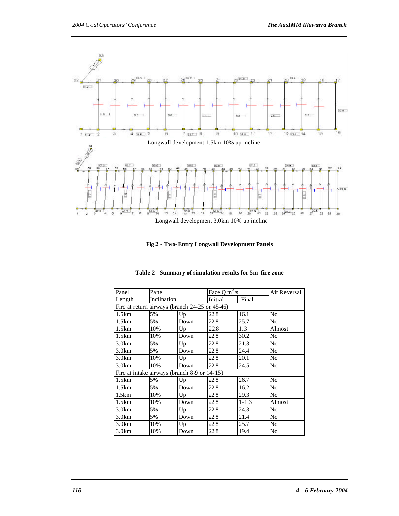

**Fig 2 - Two-Entry Longwall Development Panels**

| Panel                                          | Panel |             |      | Face $\overline{Q}$ m <sup>3</sup> /s | Air Reversal   |  |
|------------------------------------------------|-------|-------------|------|---------------------------------------|----------------|--|
| Length                                         |       | Inclination |      | Final                                 |                |  |
| Fire at return airways (branch 24-25 or 45-46) |       |             |      |                                       |                |  |
| 1.5km                                          | 5%    | Up          | 22.8 | 16.1                                  | N <sub>0</sub> |  |
| 1.5km                                          | 5%    | Down        | 22.8 | 25.7                                  | N <sub>o</sub> |  |
| 1.5km                                          | 10%   | Up          | 22.8 | 1.3                                   | Almost         |  |
| 1.5km                                          | 10%   | Down        | 22.8 | 30.2                                  | N <sub>0</sub> |  |
| 3.0km                                          | 5%    | Up          | 22.8 | 21.3                                  | N <sub>o</sub> |  |
| 3.0 <sub>km</sub>                              | 5%    | Down        | 22.8 | 24.4                                  | N <sub>o</sub> |  |
| 3.0km                                          | 10%   | Up          | 22.8 | 20.1                                  | N <sub>o</sub> |  |
| 3.0km                                          | 10%   | Down        | 22.8 | 24.5                                  | $\rm No$       |  |
| Fire at intake airways (branch 8-9 or 14-15)   |       |             |      |                                       |                |  |
| 1.5km                                          | 5%    | Up          | 22.8 | 26.7                                  | N <sub>0</sub> |  |
| 1.5km                                          | 5%    | Down        | 22.8 | 16.2                                  | N <sub>o</sub> |  |
| 1.5km                                          | 10%   | Up          | 22.8 | 29.3                                  | N <sub>o</sub> |  |
| 1.5km                                          | 10%   | Down        | 22.8 | $1 - 1.3$                             | Almost         |  |
| 3.0 <sub>km</sub>                              | 5%    | Up          | 22.8 | 24.3                                  | No             |  |
| 3.0km                                          | 5%    | Down        | 22.8 | 21.4                                  | N <sub>o</sub> |  |
| 3.0km                                          | 10%   | Up          | 22.8 | 25.7                                  | N <sub>o</sub> |  |
| 3.0 <sub>km</sub>                              | 10%   | Down        | 22.8 | 19.4                                  | No             |  |

**Table 2 - Summary of simulation results for 5m -fire zone**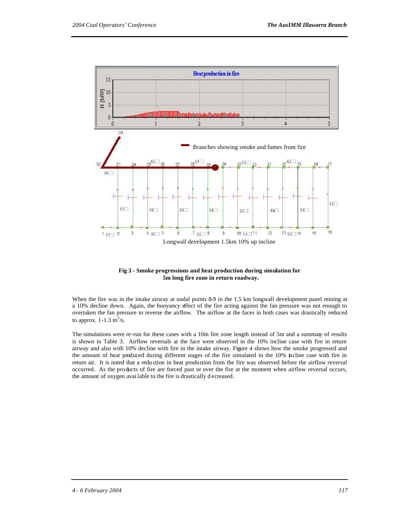

# **Fig 3 - Smoke progressions and heat production during simulation for 5m long fire zone in return roadway.**

When the fire was in the intake airway at nodal points 8-9 in the 1.5 km longwall development panel mining at a 10% decline down. Again, the buoyancy effect of the fire acting against the fan pressure was not enough to overtaken the fan pressure to reverse the airflow. The airflow at the faces in both cases was drastically reduced to approx.  $1-1.3$  m<sup>3</sup>/s.

The simulations were re-run for these cases with a 10m fire zone length instead of 5m and a summary of results is shown in Table 3. Airflow reversals at the face were observed in the 10% incline case with fire in return airway and also with 10% decline with fire in the intake airway. Figure 4 shows how the smoke progressed and the amount of heat produced during different stages of the fire simulated in the 10% incline case with fire in return air. It is noted that a reduction in heat production from the fire was observed before the airflow reversal occurred. As the products of fire are forced past or over the fire at the moment when airflow reversal occurs, the amount of oxygen avai lable to the fire is drastically d ecreased.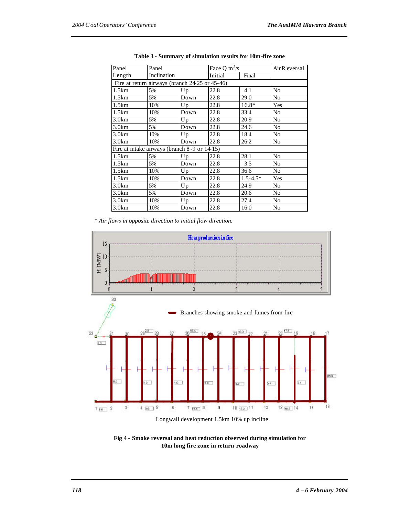| Panel                                             | Panel       |      | Face Q $m^3/s$ |              | Air R eversal  |  |
|---------------------------------------------------|-------------|------|----------------|--------------|----------------|--|
| Length                                            | Inclination |      | Initial        | Final        |                |  |
| Fire at return airways (branch 24-25 or 45-46)    |             |      |                |              |                |  |
| 1.5km                                             | 5%          | Up   | 22.8           | 4.1          | N <sub>0</sub> |  |
| 1.5km                                             | 5%          | Down | 22.8           | 29.0         | N <sub>o</sub> |  |
| 1.5km                                             | 10%         | Up   | 22.8           | $16.8*$      | Yes            |  |
| 1.5km                                             | 10%         | Down | 22.8           | 33.4         | N <sub>0</sub> |  |
| 3.0km                                             | 5%          | Up   | 22.8           | 20.9         | N <sub>0</sub> |  |
| 3.0km                                             | 5%          | Down | 22.8           | 24.6         | N <sub>0</sub> |  |
| 3.0km                                             | 10%         | Up   | 22.8           | 18.4         | N <sub>0</sub> |  |
| 3.0km                                             | 10%         | Down | 22.8           | 26.2         | N <sub>0</sub> |  |
| Fire at intake airways (branch $8-9$ or $14-15$ ) |             |      |                |              |                |  |
| 1.5km                                             | 5%          | Up   | 22.8           | 28.1         | N <sub>0</sub> |  |
| 1.5km                                             | 5%          | Down | 22.8           | 3.5          | N <sub>0</sub> |  |
| 1.5km                                             | 10%         | Up   | 22.8           | 36.6         | N <sub>0</sub> |  |
| 1.5km                                             | 10%         | Down | 22.8           | $1.5 - 4.5*$ | Yes            |  |
| 3.0km                                             | 5%          | Up   | 22.8           | 24.9         | N <sub>0</sub> |  |
| 3.0km                                             | 5%          | Down | 22.8           | 20.6         | N <sub>0</sub> |  |
| 3.0km                                             | 10%         | Up   | 22.8           | 27.4         | N <sub>0</sub> |  |
| 3.0km                                             | 10%         | Down | 22.8           | 16.0         | N <sub>0</sub> |  |

**Table 3 - Summary of simulation results for 10m-fire zone**

*\* Air flows in opposite direction to initial flow direction.* 



**Fig 4 - Smoke reversal and heat reduction observed during simulation for 10m long fire zone in return roadway**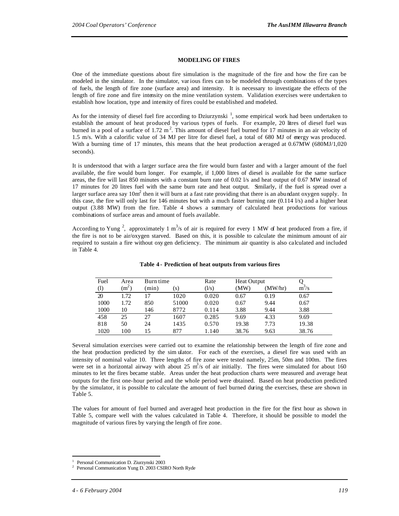# **MODELING OF FIRES**

One of the immediate questions about fire simulation is the magnitude of the fire and how the fire can be modeled in the simulator. In the simulator, various fires can to be modeled through combinations of the types of fuels, the length of fire zone (surface area) and intensity. It is necessary to investigate the effects of the length of fire zone and fire intensity on the mine ventilation system. Validation exercises were undertaken to establish how location, type and intensity of fires could be established and modeled.

As for the intensity of diesel fuel fire according to Dziurzynski<sup> $1$ </sup>, some empirical work had been undertaken to establish the amount of heat produced by various types of fuels. For example, 20 litres of diesel fuel was burned in a pool of a surface of 1.72 m<sup>2</sup>. This amount of diesel fuel burned for 17 minutes in an air velocity of 1.5 m/s. With a calorific value of 34 MJ per litre for diesel fuel, a total of 680 MJ of energy was produced. With a burning time of 17 minutes, this means that the heat production averaged at 0.67MW (680MJ/1,020) seconds).

It is understood that with a larger surface area the fire would burn faster and with a larger amount of the fuel available, the fire would burn longer. For example, if 1,000 litres of diesel is available for the same surface areas, the fire will last 850 minutes with a constant burn rate of 0.02 l/s and heat output of 0.67 MW instead of 17 minutes for 20 litres fuel with the same burn rate and heat output. Similarly, if the fuel is spread over a larger surface area say 10m<sup>2</sup> then it will burn at a fast rate providing that there is an abundant oxygen supply. In this case, the fire will only last for 146 minutes but with a much faster burning rate (0.114 l/s) and a higher heat output (3.88 MW) from the fire. Table 4 shows a summary of calculated heat productions for various combinations of surface areas and amount of fuels available.

According to Yung<sup>2</sup>, approximately 1 m<sup>3</sup>/s of air is required for every 1 MW of heat produced from a fire, if the fire is not to be air/oxygen starved. Based on this, it is possible to calculate the minimum amount of air required to sustain a fire without oxy gen deficiency. The minimum air quantity is also calculated and included in Table 4.

| Fuel<br>$\left( 1\right)$ | Area<br>$\rm (m^2)$ | Burn time<br>(min) | (s)   | Rate<br>(1/s) | <b>Heat Output</b><br>(MW) | (MW/hr) | $\overline{m}^3$ /s |
|---------------------------|---------------------|--------------------|-------|---------------|----------------------------|---------|---------------------|
| 20                        | 1.72                | 17                 | 1020  | 0.020         | 0.67                       | 0.19    | 0.67                |
| 1000                      | 1.72                | 850                | 51000 | 0.020         | 0.67                       | 9.44    | 0.67                |
| 1000                      | 10                  | 146                | 8772  | 0.114         | 3.88                       | 9.44    | 3.88                |
| 458                       | 25                  | 27                 | 1607  | 0.285         | 9.69                       | 4.33    | 9.69                |
| 818                       | 50                  | 24                 | 1435  | 0.570         | 19.38                      | 7.73    | 19.38               |
| 1020                      | 100                 | 15                 | 877   | 1.140         | 38.76                      | 9.63    | 38.76               |

### **Table 4 - Prediction of heat outputs from various fires**

Several simulation exercises were carried out to examine the relationship between the length of fire zone and the heat production predicted by the sim ulator. For each of the exercises, a diesel fire was used with an intensity of nominal value 10. Three lengths of fire zone were tested namely, 25m, 50m and 100m. The fires were set in a horizontal airway with about 25  $m^3/s$  of air initially. The fires were simulated for about 160 minutes to let the fires became stable. Areas under the heat production charts were measured and average heat outputs for the first one-hour period and the whole period were obtained. Based on heat production predicted by the simulator, it is possible to calculate the amount of fuel burned during the exercises, these are shown in Table 5.

The values for amount of fuel burned and averaged heat production in the fire for the first hour as shown in Table 5, compare well with the values calculated in Table 4. Therefore, it should be possible to model the magnitude of various fires by varying the length of fire zone.

 $\overline{a}$ 

<sup>1</sup> Personal Communication D. Ziurzynski 2003

<sup>2</sup> Personal Communication Yung D. 2003 CSIRO North Ryde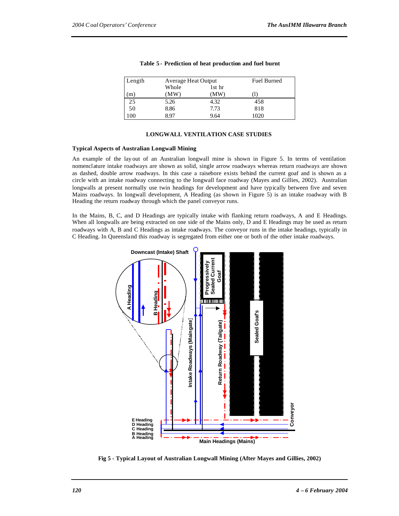| Length | <b>Average Heat Output</b> |        | <b>Fuel Burned</b> |
|--------|----------------------------|--------|--------------------|
|        | Whole                      | 1st hr |                    |
| (m)    | `MW)                       | (MW)   |                    |
| 25     | 5.26                       | 4.32   | 458                |
| 50     | 8.86                       | 7.73   | 818                |
| 100    | 897                        | 9.64   | 1020               |

### **Table 5 - Prediction of heat production and fuel burnt**

# **LONGWALL VENTILATION CASE STUDIES**

### **Typical Aspects of Australian Longwall Mining**

An example of the lay out of an Australian longwall mine is shown in Figure 5. In terms of ventilation nomenclature intake roadways are shown as solid, single arrow roadways whereas return roadways are shown as dashed, double arrow roadways. In this case a raisebore exists behind the current goaf and is shown as a circle with an intake roadway connecting to the longwall face roadway (Mayes and Gillies, 2002). Australian longwalls at present normally use twin headings for development and have typically between five and seven Mains roadways. In longwall development, A Heading (as shown in Figure 5) is an intake roadway with B Heading the return roadway through which the panel conveyor runs.

In the Mains, B, C, and D Headings are typically intake with flanking return roadways, A and E Headings. When all longwalls are being extracted on one side of the Mains only, D and E Headings may be used as return roadways with A, B and C Headings as intake roadways. The conveyor runs in the intake headings, typically in C Heading. In Queensland this roadway is segregated from either one or both of the other intake roadways.



**Fig 5 - Typical Layout of Australian Longwall Mining (After Mayes and Gillies, 2002)**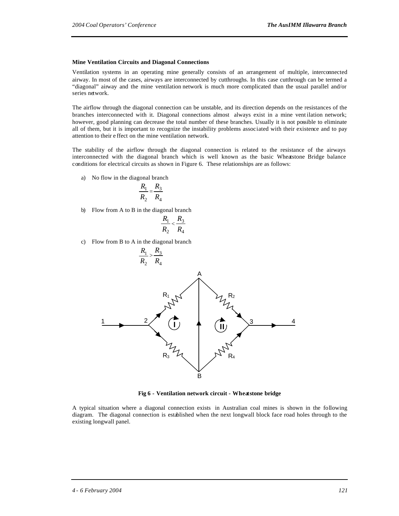### **Mine Ventilation Circuits and Diagonal Connections**

Ventilation systems in an operating mine generally consists of an arrangement of multiple, interconnected airway. In most of the cases, airways are interconnected by cutthroughs. In this case cutthrough can be termed a "diagonal" airway and the mine ventilation network is much more complicated than the usual parallel and/or series network.

The airflow through the diagonal connection can be unstable, and its direction depends on the resistances of the branches interconnected with it. Diagonal connections almost always exist in a mine vent ilation network; however, good planning can decrease the total number of these branches. Usually it is not possible to eliminate all of them, but it is important to recognize the instability problems associated with their existence and to pay attention to their e ffect on the mine ventilation network.

The stability of the airflow through the diagonal connection is related to the resistance of the airways interconnected with the diagonal branch which is well known as the basic Wheatstone Bridge balance conditions for electrical circuits as shown in Figure 6. These relationships are as follows:

a) No flow in the diagonal branch

$$
\frac{R_1}{R_2} = \frac{R_3}{R_4}
$$

b) Flow from A to B in the diagonal branch

$$
\frac{R_1}{R_2} < \frac{R_3}{R_4}
$$

c) Flow from B to A in the diagonal branch



**Fig 6 - Ventilation network circuit - Wheatstone bridge**

A typical situation where a diagonal connection exists in Australian coal mines is shown in the following diagram. The diagonal connection is established when the next longwall block face road holes through to the existing longwall panel.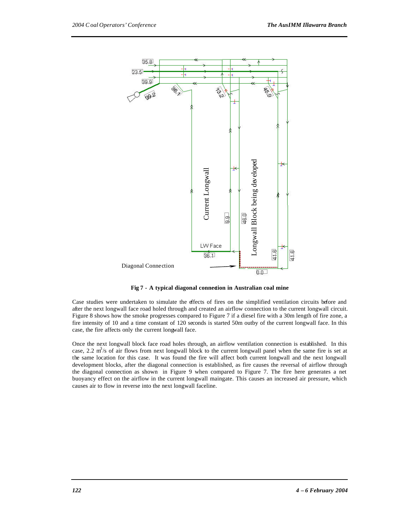

**Fig 7 - A typical diagonal connection in Australian coal mine**

Case studies were undertaken to simulate the effects of fires on the simplified ventilation circuits before and after the next longwall face road holed through and created an airflow connection to the current longwall circuit. Figure 8 shows how the smoke progresses compared to Figure 7 if a diesel fire with a 30m length of fire zone, a fire intensity of 10 and a time constant of 120 seconds is started 50m outby of the current longwall face. In this case, the fire affects only the current longwall face.

Once the next longwall block face road holes through, an airflow ventilation connection is established. In this case, 2.2  $m<sup>3</sup>/s$  of air flows from next longwall block to the current longwall panel when the same fire is set at the same location for this case. It was found the fire will affect both current longwall and the next longwall development blocks, after the diagonal connection is established, as fire causes the reversal of airflow through the diagonal connection as shown in Figure 9 when compared to Figure 7. The fire here generates a net buoyancy effect on the airflow in the current longwall maingate. This causes an increased air pressure, which causes air to flow in reverse into the next longwall faceline.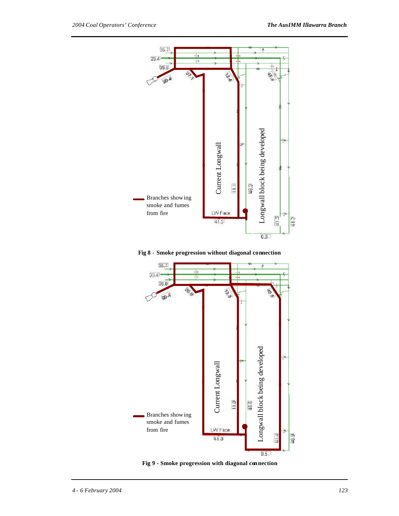

**Fig 8 - Smoke progression without diagonal connection**

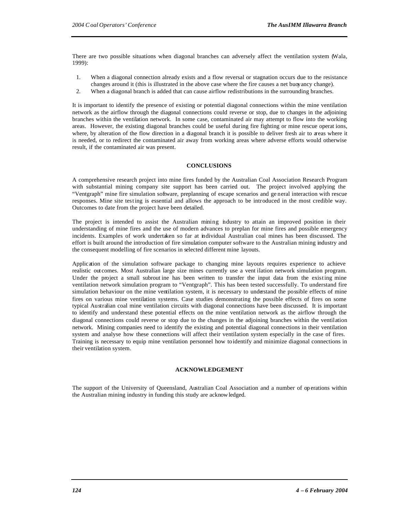There are two possible situations when diagonal branches can adversely affect the ventilation system (Wala, 1999):

- 1. When a diagonal connection already exists and a flow reversal or stagnation occurs due to the resistance changes around it (this is illustrated in the above case where the fire causes a net buoyancy change).
- 2. When a diagonal branch is added that can cause airflow redistributions in the surrounding branches.

It is important to identify the presence of existing or potential diagonal connections within the mine ventilation network as the airflow through the diagonal connections could reverse or stop, due to changes in the adjoining branches within the ventilation network. In some case, contaminated air may attempt to flow into the working areas. However, the existing diagonal branches could be useful during fire fighting or mine rescue operat ions, where, by alteration of the flow direction in a diagonal branch it is possible to deliver fresh air to areas where it is needed, or to redirect the contaminated air away from working areas where adverse efforts would otherwise result, if the contaminated air was present.

# **CONCLUSIONS**

A comprehensive research project into mine fires funded by the Australian Coal Association Research Program with substantial mining company site support has been carried out. The project involved applying the "Ventgraph" mine fire simulation software, preplanning of escape scenarios and ge neral interaction with rescue responses. Mine site testing is essential and allows the approach to be introduced in the most credible way. Outcomes to date from the project have been detailed.

The project is intended to assist the Australian mining industry to attain an improved position in their understanding of mine fires and the use of modern advances to preplan for mine fires and possible emergency incidents. Examples of work undertaken so far at individual Australian coal mines has been discussed. The effort is built around the introduction of fire simulation computer software to the Australian mining industry and the consequent modelling of fire scenarios in selected different mine layouts.

Application of the simulation software package to changing mine layouts requires experience to achieve realistic out comes. Most Australian large size mines currently use a vent ilation network simulation program. Under the project a small subrout ine has been written to transfer the input data from the existing mine ventilation network simulation program to "Ventgraph". This has been tested successfully. To understand fire simulation behaviour on the mine ventilation system, it is necessary to understand the possible effects of mine fires on various mine ventilation systems. Case studies demonstrating the possible effects of fires on some typical Australian coal mine ventilation circuits with diagonal connections have been discussed. It is important to identify and understand these potential effects on the mine ventilation network as the airflow through the diagonal connections could reverse or stop due to the changes in the adjoining branches within the ventilation network. Mining companies need to identify the existing and potential diagonal connections in their ventilation system and analyse how these connections will affect their ventilation system especially in the case of fires. Training is necessary to equip mine ventilation personnel how to identify and minimize diagonal connections in their ventilation system.

# **ACKNOWLEDGEMENT**

The support of the University of Queensland, Australian Coal Association and a number of op erations within the Australian mining industry in funding this study are acknowledged.